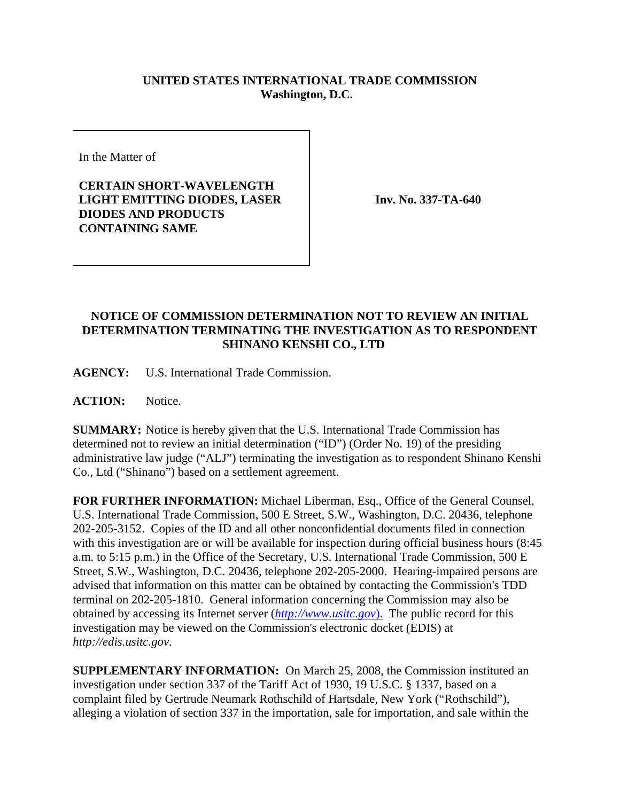## **UNITED STATES INTERNATIONAL TRADE COMMISSION Washington, D.C.**

In the Matter of

**CERTAIN SHORT-WAVELENGTH LIGHT EMITTING DIODES, LASER DIODES AND PRODUCTS CONTAINING SAME**

**Inv. No. 337-TA-640**

## **NOTICE OF COMMISSION DETERMINATION NOT TO REVIEW AN INITIAL DETERMINATION TERMINATING THE INVESTIGATION AS TO RESPONDENT SHINANO KENSHI CO., LTD**

**AGENCY:** U.S. International Trade Commission.

**ACTION:** Notice.

**SUMMARY:** Notice is hereby given that the U.S. International Trade Commission has determined not to review an initial determination ("ID") (Order No. 19) of the presiding administrative law judge ("ALJ") terminating the investigation as to respondent Shinano Kenshi Co., Ltd ("Shinano") based on a settlement agreement.

**FOR FURTHER INFORMATION:** Michael Liberman, Esq., Office of the General Counsel, U.S. International Trade Commission, 500 E Street, S.W., Washington, D.C. 20436, telephone 202-205-3152. Copies of the ID and all other nonconfidential documents filed in connection with this investigation are or will be available for inspection during official business hours (8:45 a.m. to 5:15 p.m.) in the Office of the Secretary, U.S. International Trade Commission, 500 E Street, S.W., Washington, D.C. 20436, telephone 202-205-2000. Hearing-impaired persons are advised that information on this matter can be obtained by contacting the Commission's TDD terminal on 202-205-1810. General information concerning the Commission may also be obtained by accessing its Internet server (*http://www.usitc.gov*). The public record for this investigation may be viewed on the Commission's electronic docket (EDIS) at *http://edis.usitc.gov*.

**SUPPLEMENTARY INFORMATION:** On March 25, 2008, the Commission instituted an investigation under section 337 of the Tariff Act of 1930, 19 U.S.C. § 1337, based on a complaint filed by Gertrude Neumark Rothschild of Hartsdale, New York ("Rothschild"), alleging a violation of section 337 in the importation, sale for importation, and sale within the